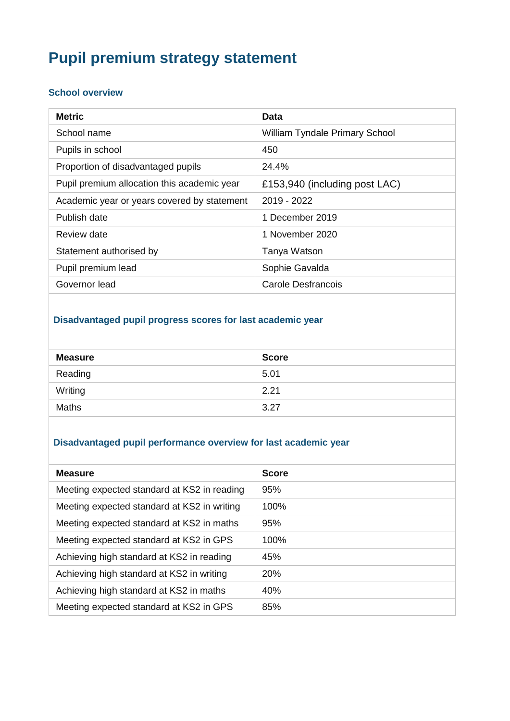# **Pupil premium strategy statement**

#### **School overview**

| <b>Metric</b>                               | Data                           |
|---------------------------------------------|--------------------------------|
| School name                                 | William Tyndale Primary School |
| Pupils in school                            | 450                            |
| Proportion of disadvantaged pupils          | 24.4%                          |
| Pupil premium allocation this academic year | £153,940 (including post LAC)  |
| Academic year or years covered by statement | 2019 - 2022                    |
| Publish date                                | 1 December 2019                |
| Review date                                 | 1 November 2020                |
| Statement authorised by                     | Tanya Watson                   |
| Pupil premium lead                          | Sophie Gavalda                 |
| Governor lead                               | <b>Carole Desfrancois</b>      |

### **Disadvantaged pupil progress scores for last academic year**

| <b>Measure</b> | <b>Score</b> |
|----------------|--------------|
| Reading        | 5.01         |
| Writing        | 2.21         |
| <b>Maths</b>   | 3.27         |

#### **Disadvantaged pupil performance overview for last academic year**

| <b>Measure</b>                              | <b>Score</b> |
|---------------------------------------------|--------------|
| Meeting expected standard at KS2 in reading | 95%          |
| Meeting expected standard at KS2 in writing | 100%         |
| Meeting expected standard at KS2 in maths   | 95%          |
| Meeting expected standard at KS2 in GPS     | $100\%$      |
| Achieving high standard at KS2 in reading   | 45%          |
| Achieving high standard at KS2 in writing   | 20%          |
| Achieving high standard at KS2 in maths     | 40%          |
| Meeting expected standard at KS2 in GPS     | 85%          |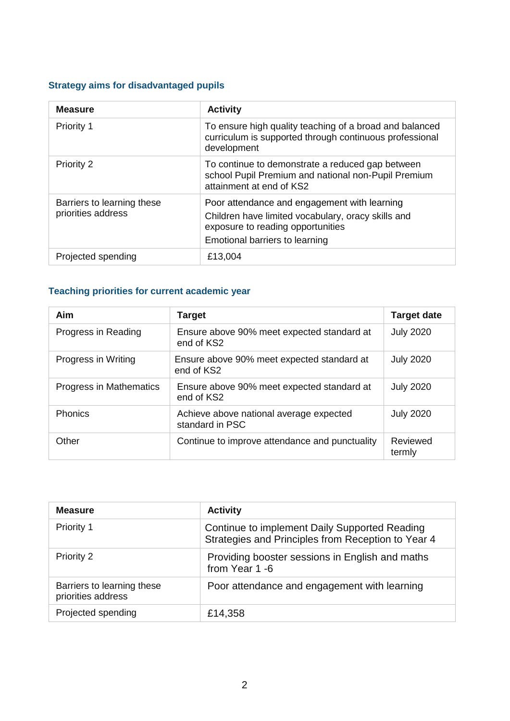## **Strategy aims for disadvantaged pupils**

| <b>Measure</b>                                   | <b>Activity</b>                                                                                                                                                           |
|--------------------------------------------------|---------------------------------------------------------------------------------------------------------------------------------------------------------------------------|
| <b>Priority 1</b>                                | To ensure high quality teaching of a broad and balanced<br>curriculum is supported through continuous professional<br>development                                         |
| <b>Priority 2</b>                                | To continue to demonstrate a reduced gap between<br>school Pupil Premium and national non-Pupil Premium<br>attainment at end of KS2                                       |
| Barriers to learning these<br>priorities address | Poor attendance and engagement with learning<br>Children have limited vocabulary, oracy skills and<br>exposure to reading opportunities<br>Emotional barriers to learning |
| Projected spending                               | £13,004                                                                                                                                                                   |

## **Teaching priorities for current academic year**

| Aim                     | <b>Target</b>                                              | <b>Target date</b> |
|-------------------------|------------------------------------------------------------|--------------------|
| Progress in Reading     | Ensure above 90% meet expected standard at<br>end of KS2   | <b>July 2020</b>   |
| Progress in Writing     | Ensure above 90% meet expected standard at<br>end of KS2   | <b>July 2020</b>   |
| Progress in Mathematics | Ensure above 90% meet expected standard at<br>end of KS2   | <b>July 2020</b>   |
| Phonics                 | Achieve above national average expected<br>standard in PSC | <b>July 2020</b>   |
| Other                   | Continue to improve attendance and punctuality             | Reviewed<br>termly |

| <b>Measure</b>                                   | <b>Activity</b>                                                                                     |
|--------------------------------------------------|-----------------------------------------------------------------------------------------------------|
| Priority 1                                       | Continue to implement Daily Supported Reading<br>Strategies and Principles from Reception to Year 4 |
| <b>Priority 2</b>                                | Providing booster sessions in English and maths<br>from Year 1 -6                                   |
| Barriers to learning these<br>priorities address | Poor attendance and engagement with learning                                                        |
| Projected spending                               | £14,358                                                                                             |